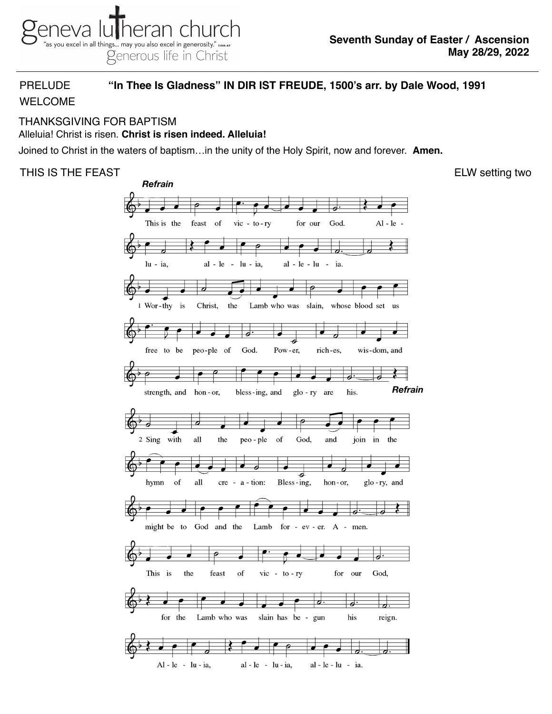# PRELUDE **"In Thee Is Gladness" IN DIR IST FREUDE, 1500's arr. by Dale Wood, 1991**

# WELCOME

#### THANKSGIVING FOR BAPTISM Alleluia! Christ is risen. **Christ is risen indeed. Alleluia!**

Joined to Christ in the waters of baptism…in the unity of the Holy Spirit, now and forever. **Amen.**

# THIS IS THE FEAST **ELW** setting two

*Refrain*This is the feast of  $vic - to - ry$ for our God.  $Al - le \bigcirc$ 0 lu - ia, al - le  $-$  lu  $-$  ia, al - le - lu  $\sim$ ia. -9 1 Wor-thy is Christ, the Lamb who was slain, whose blood set us 7 free to be peo-ple of God. Pow-er, rich-es, wis-dom, and *Refrain* strength, and hon-or, bless-ing, and glo - ry are his. 2 Sing with all the peo - ple of God, and join in the hymn of all  $cre - a - tion:$ Bless-ing, glo-ry, and hon-or, might be to God and the Lamb for - ev - er. A - men. ð. This is the feast of  $\overline{\text{vic}}$  - to - ry for our God,  $\overline{\partial}$  . ᅿ slain has be - gun for the Lamb who was his reign. ∙ al - le - lu - ia, Al - le - lu - ia, al - le - lu - ia.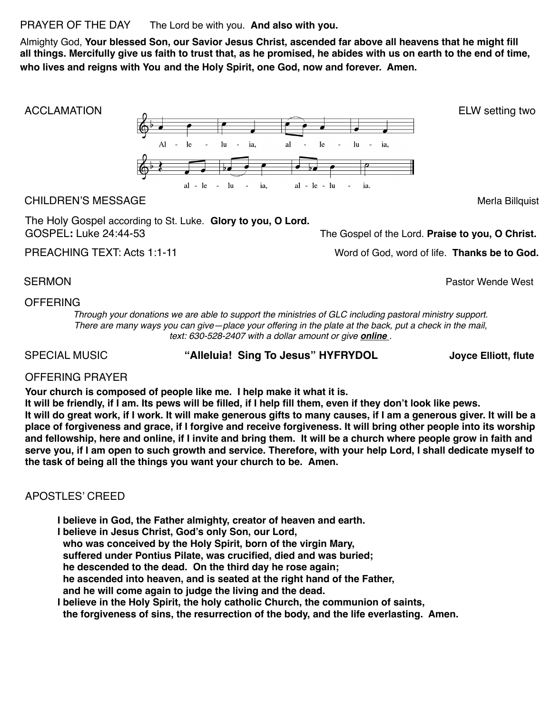PRAYER OF THE DAY The Lord be with you. **And also with you.** 

Almighty God, **Your blessed Son, our Savior Jesus Christ, ascended far above all heavens that he might fill all things. Mercifully give us faith to trust that, as he promised, he abides with us on earth to the end of time, who lives and reigns with You and the Holy Spirit, one God, now and forever. Amen.**



The Holy Gospel according to St. Luke. **Glory to you, O Lord.**  GOSPEL**:** Luke 24:44-53 The Gospel of the Lord. **Praise to you, O Christ.**

PREACHING TEXT: Acts 1:1-11 *PREACHING* TEXT: Acts 1:1-11

SERMON **Pastor Wende West** 

### **OFFERING**

*Through your donations we are able to support the ministries of GLC including pastoral ministry support. There are many ways you can give—place your offering in the plate at the back, put a check in the mail, text: 630-528-2407 with a dollar amount or give [online](https://secure.myvanco.com/YNE6) .* 

SPECIAL MUSIC **"Alleluia! Sing To Jesus" HYFRYDOL Joyce Elliott, flute**

### OFFERING PRAYER

**Your church is composed of people like me. I help make it what it is.** 

**It will be friendly, if I am. Its pews will be filled, if I help fill them, even if they don't look like pews. It will do great work, if I work. It will make generous gifts to many causes, if I am a generous giver. It will be a place of forgiveness and grace, if I forgive and receive forgiveness. It will bring other people into its worship and fellowship, here and online, if I invite and bring them. It will be a church where people grow in faith and serve you, if I am open to such growth and service. Therefore, with your help Lord, I shall dedicate myself to the task of being all the things you want your church to be. Amen.**

## APOSTLES' CREED

**I believe in God, the Father almighty, creator of heaven and earth. I believe in Jesus Christ, God's only Son, our Lord, who was conceived by the Holy Spirit, born of the virgin Mary, suffered under Pontius Pilate, was crucified, died and was buried; he descended to the dead. On the third day he rose again; he ascended into heaven, and is seated at the right hand of the Father, and he will come again to judge the living and the dead. I believe in the Holy Spirit, the holy catholic Church, the communion of saints,**

 **the forgiveness of sins, the resurrection of the body, and the life everlasting. Amen.**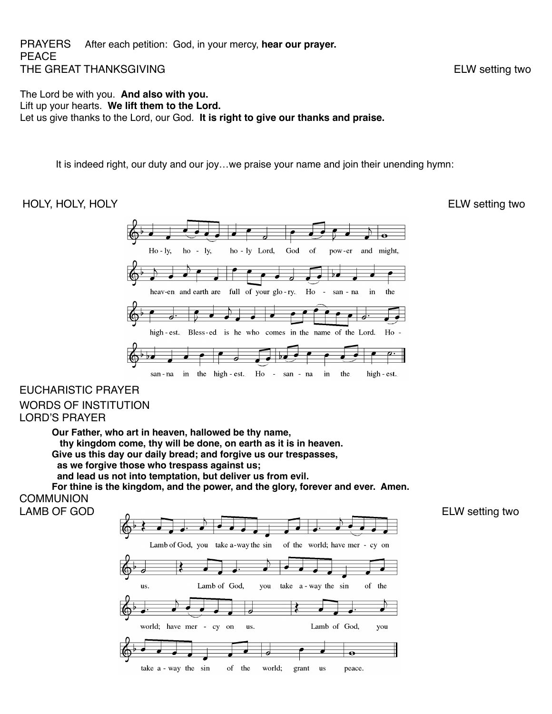#### PRAYERS After each petition: God, in your mercy, **hear our prayer.**  PEACE THE GREAT THANKSGIVING **ELW** setting two

The Lord be with you. **And also with you.**  Lift up your hearts. **We lift them to the Lord.**  Let us give thanks to the Lord, our God. **It is right to give our thanks and praise.**

It is indeed right, our duty and our joy…we praise your name and join their unending hymn:

#### HOLY, HOLY, HOLY **ELW** setting two



# EUCHARISTIC PRAYER WORDS OF INSTITUTION LORD'S PRAYER

**Our Father, who art in heaven, hallowed be thy name, thy kingdom come, thy will be done, on earth as it is in heaven. Give us this day our daily bread; and forgive us our trespasses, as we forgive those who trespass against us; and lead us not into temptation, but deliver us from evil.** 

**For thine is the kingdom, and the power, and the glory, forever and ever. Amen. COMMUNION**